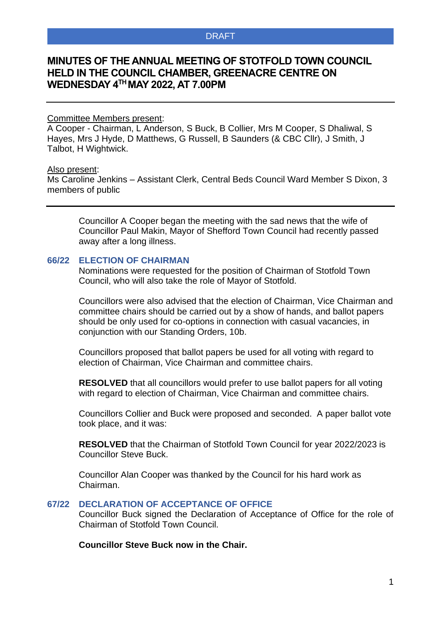# **MINUTES OF THE ANNUAL MEETING OF STOTFOLD TOWN COUNCIL HELD IN THE COUNCIL CHAMBER, GREENACRE CENTRE ON WEDNESDAY 4 TH MAY 2022, AT 7.00PM**

### Committee Members present:

A Cooper - Chairman, L Anderson, S Buck, B Collier, Mrs M Cooper, S Dhaliwal, S Hayes, Mrs J Hyde, D Matthews, G Russell, B Saunders (& CBC Cllr), J Smith, J Talbot, H Wightwick.

### Also present:

Ms Caroline Jenkins – Assistant Clerk, Central Beds Council Ward Member S Dixon, 3 members of public

Councillor A Cooper began the meeting with the sad news that the wife of Councillor Paul Makin, Mayor of Shefford Town Council had recently passed away after a long illness.

### **66/22 ELECTION OF CHAIRMAN**

Nominations were requested for the position of Chairman of Stotfold Town Council, who will also take the role of Mayor of Stotfold.

Councillors were also advised that the election of Chairman, Vice Chairman and committee chairs should be carried out by a show of hands, and ballot papers should be only used for co-options in connection with casual vacancies, in conjunction with our Standing Orders, 10b.

Councillors proposed that ballot papers be used for all voting with regard to election of Chairman, Vice Chairman and committee chairs.

**RESOLVED** that all councillors would prefer to use ballot papers for all voting with regard to election of Chairman, Vice Chairman and committee chairs.

Councillors Collier and Buck were proposed and seconded. A paper ballot vote took place, and it was:

**RESOLVED** that the Chairman of Stotfold Town Council for year 2022/2023 is Councillor Steve Buck.

Councillor Alan Cooper was thanked by the Council for his hard work as Chairman.

# **67/22 DECLARATION OF ACCEPTANCE OF OFFICE**

Councillor Buck signed the Declaration of Acceptance of Office for the role of Chairman of Stotfold Town Council.

### **Councillor Steve Buck now in the Chair.**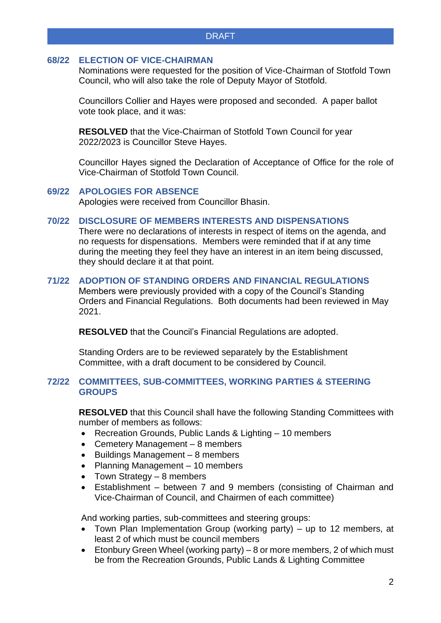## **68/22 ELECTION OF VICE-CHAIRMAN**

Nominations were requested for the position of Vice-Chairman of Stotfold Town Council, who will also take the role of Deputy Mayor of Stotfold.

Councillors Collier and Hayes were proposed and seconded. A paper ballot vote took place, and it was:

**RESOLVED** that the Vice-Chairman of Stotfold Town Council for year 2022/2023 is Councillor Steve Hayes.

Councillor Hayes signed the Declaration of Acceptance of Office for the role of Vice-Chairman of Stotfold Town Council.

# **69/22 APOLOGIES FOR ABSENCE**

Apologies were received from Councillor Bhasin.

# **70/22 DISCLOSURE OF MEMBERS INTERESTS AND DISPENSATIONS**

There were no declarations of interests in respect of items on the agenda, and no requests for dispensations. Members were reminded that if at any time during the meeting they feel they have an interest in an item being discussed, they should declare it at that point.

# **71/22 ADOPTION OF STANDING ORDERS AND FINANCIAL REGULATIONS**

Members were previously provided with a copy of the Council's Standing Orders and Financial Regulations. Both documents had been reviewed in May 2021.

**RESOLVED** that the Council's Financial Regulations are adopted.

Standing Orders are to be reviewed separately by the Establishment Committee, with a draft document to be considered by Council.

### **72/22 COMMITTEES, SUB-COMMITTEES, WORKING PARTIES & STEERING GROUPS**

**RESOLVED** that this Council shall have the following Standing Committees with number of members as follows:

- Recreation Grounds, Public Lands & Lighting 10 members
- Cemetery Management 8 members
- Buildings Management 8 members
- Planning Management 10 members
- Town Strategy 8 members
- Establishment between 7 and 9 members (consisting of Chairman and Vice-Chairman of Council, and Chairmen of each committee)

And working parties, sub-committees and steering groups:

- Town Plan Implementation Group (working party) up to 12 members, at least 2 of which must be council members
- Etonbury Green Wheel (working party) 8 or more members, 2 of which must be from the Recreation Grounds, Public Lands & Lighting Committee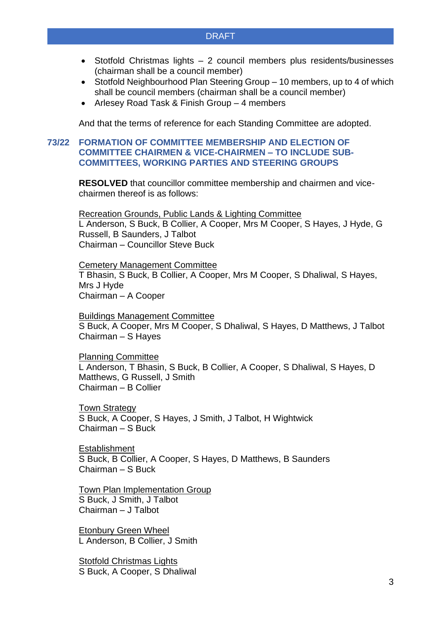- Stotfold Christmas lights 2 council members plus residents/businesses (chairman shall be a council member)
- Stotfold Neighbourhood Plan Steering Group 10 members, up to 4 of which shall be council members (chairman shall be a council member)
- Arlesey Road Task & Finish Group 4 members

And that the terms of reference for each Standing Committee are adopted.

# **73/22 FORMATION OF COMMITTEE MEMBERSHIP AND ELECTION OF COMMITTEE CHAIRMEN & VICE-CHAIRMEN – TO INCLUDE SUB-COMMITTEES, WORKING PARTIES AND STEERING GROUPS**

**RESOLVED** that councillor committee membership and chairmen and vicechairmen thereof is as follows:

Recreation Grounds, Public Lands & Lighting Committee L Anderson, S Buck, B Collier, A Cooper, Mrs M Cooper, S Hayes, J Hyde, G Russell, B Saunders, J Talbot Chairman – Councillor Steve Buck

Cemetery Management Committee T Bhasin, S Buck, B Collier, A Cooper, Mrs M Cooper, S Dhaliwal, S Hayes, Mrs J Hyde Chairman – A Cooper

Buildings Management Committee S Buck, A Cooper, Mrs M Cooper, S Dhaliwal, S Hayes, D Matthews, J Talbot Chairman – S Hayes

Planning Committee L Anderson, T Bhasin, S Buck, B Collier, A Cooper, S Dhaliwal, S Hayes, D Matthews, G Russell, J Smith Chairman – B Collier

Town Strategy S Buck, A Cooper, S Hayes, J Smith, J Talbot, H Wightwick Chairman – S Buck

Establishment S Buck, B Collier, A Cooper, S Hayes, D Matthews, B Saunders Chairman – S Buck

Town Plan Implementation Group S Buck, J Smith, J Talbot Chairman – J Talbot

Etonbury Green Wheel L Anderson, B Collier, J Smith

Stotfold Christmas Lights S Buck, A Cooper, S Dhaliwal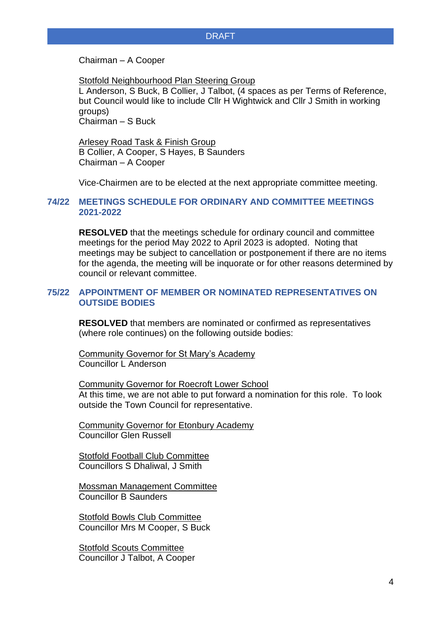Chairman – A Cooper

Stotfold Neighbourhood Plan Steering Group

L Anderson, S Buck, B Collier, J Talbot, (4 spaces as per Terms of Reference, but Council would like to include Cllr H Wightwick and Cllr J Smith in working groups) Chairman – S Buck

Arlesey Road Task & Finish Group B Collier, A Cooper, S Hayes, B Saunders Chairman – A Cooper

Vice-Chairmen are to be elected at the next appropriate committee meeting.

### **74/22 MEETINGS SCHEDULE FOR ORDINARY AND COMMITTEE MEETINGS 2021-2022**

**RESOLVED** that the meetings schedule for ordinary council and committee meetings for the period May 2022 to April 2023 is adopted. Noting that meetings may be subject to cancellation or postponement if there are no items for the agenda, the meeting will be inquorate or for other reasons determined by council or relevant committee.

# **75/22 APPOINTMENT OF MEMBER OR NOMINATED REPRESENTATIVES ON OUTSIDE BODIES**

**RESOLVED** that members are nominated or confirmed as representatives (where role continues) on the following outside bodies:

Community Governor for St Mary's Academy Councillor L Anderson

Community Governor for Roecroft Lower School At this time, we are not able to put forward a nomination for this role. To look outside the Town Council for representative.

Community Governor for Etonbury Academy Councillor Glen Russell

Stotfold Football Club Committee Councillors S Dhaliwal, J Smith

Mossman Management Committee Councillor B Saunders

Stotfold Bowls Club Committee Councillor Mrs M Cooper, S Buck

Stotfold Scouts Committee Councillor J Talbot, A Cooper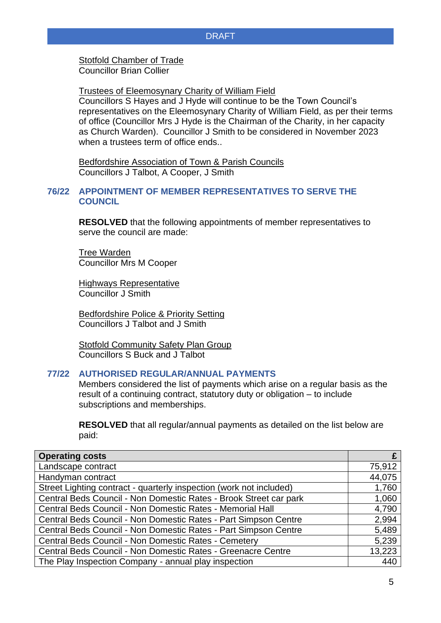Stotfold Chamber of Trade Councillor Brian Collier

Trustees of Eleemosynary Charity of William Field

Councillors S Hayes and J Hyde will continue to be the Town Council's representatives on the Eleemosynary Charity of William Field, as per their terms of office (Councillor Mrs J Hyde is the Chairman of the Charity, in her capacity as Church Warden). Councillor J Smith to be considered in November 2023 when a trustees term of office ends..

Bedfordshire Association of Town & Parish Councils Councillors J Talbot, A Cooper, J Smith

# **76/22 APPOINTMENT OF MEMBER REPRESENTATIVES TO SERVE THE COUNCIL**

**RESOLVED** that the following appointments of member representatives to serve the council are made:

Tree Warden Councillor Mrs M Cooper

Highways Representative Councillor J Smith

Bedfordshire Police & Priority Setting Councillors J Talbot and J Smith

Stotfold Community Safety Plan Group Councillors S Buck and J Talbot

# **77/22 AUTHORISED REGULAR/ANNUAL PAYMENTS**

Members considered the list of payments which arise on a regular basis as the result of a continuing contract, statutory duty or obligation – to include subscriptions and memberships.

**RESOLVED** that all regular/annual payments as detailed on the list below are paid:

| <b>Operating costs</b>                                              |        |
|---------------------------------------------------------------------|--------|
| Landscape contract                                                  | 75,912 |
| Handyman contract                                                   | 44,075 |
| Street Lighting contract - quarterly inspection (work not included) | 1,760  |
| Central Beds Council - Non Domestic Rates - Brook Street car park   | 1,060  |
| Central Beds Council - Non Domestic Rates - Memorial Hall           | 4,790  |
| Central Beds Council - Non Domestic Rates - Part Simpson Centre     | 2,994  |
| Central Beds Council - Non Domestic Rates - Part Simpson Centre     | 5,489  |
| Central Beds Council - Non Domestic Rates - Cemetery                |        |
| Central Beds Council - Non Domestic Rates - Greenacre Centre        |        |
| The Play Inspection Company - annual play inspection                |        |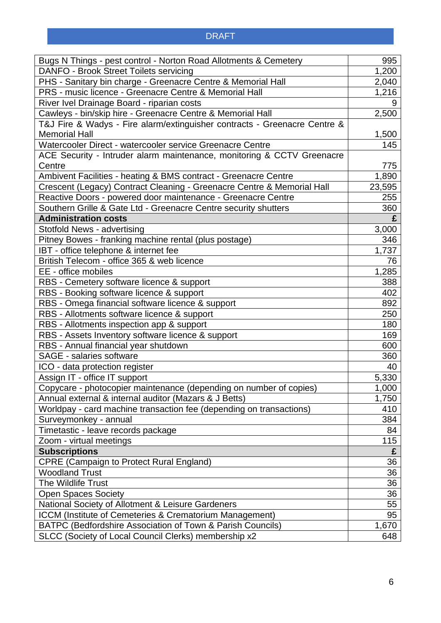| Bugs N Things - pest control - Norton Road Allotments & Cemetery          |       |
|---------------------------------------------------------------------------|-------|
| DANFO - Brook Street Toilets servicing                                    |       |
| PHS - Sanitary bin charge - Greenacre Centre & Memorial Hall              |       |
| PRS - music licence - Greenacre Centre & Memorial Hall                    |       |
| River Ivel Drainage Board - riparian costs                                |       |
| Cawleys - bin/skip hire - Greenacre Centre & Memorial Hall                |       |
| T&J Fire & Wadys - Fire alarm/extinguisher contracts - Greenacre Centre & |       |
| <b>Memorial Hall</b>                                                      |       |
| Watercooler Direct - watercooler service Greenacre Centre                 |       |
| ACE Security - Intruder alarm maintenance, monitoring & CCTV Greenacre    |       |
| Centre                                                                    |       |
| Ambivent Facilities - heating & BMS contract - Greenacre Centre           |       |
| Crescent (Legacy) Contract Cleaning - Greenacre Centre & Memorial Hall    |       |
| Reactive Doors - powered door maintenance - Greenacre Centre              |       |
| Southern Grille & Gate Ltd - Greenacre Centre security shutters           | 360   |
| <b>Administration costs</b>                                               | £     |
| Stotfold News - advertising                                               | 3,000 |
| Pitney Bowes - franking machine rental (plus postage)                     | 346   |
| IBT - office telephone & internet fee                                     | 1,737 |
| British Telecom - office 365 & web licence                                | 76    |
| EE - office mobiles                                                       |       |
| RBS - Cemetery software licence & support                                 | 388   |
| RBS - Booking software licence & support                                  | 402   |
| RBS - Omega financial software licence & support                          |       |
| RBS - Allotments software licence & support                               |       |
| RBS - Allotments inspection app & support                                 |       |
| RBS - Assets Inventory software licence & support                         |       |
| RBS - Annual financial year shutdown                                      |       |
| <b>SAGE - salaries software</b>                                           |       |
| ICO - data protection register                                            |       |
| Assign IT - office IT support                                             |       |
| Copycare - photocopier maintenance (depending on number of copies)        |       |
| Annual external & internal auditor (Mazars & J Betts)                     |       |
| Worldpay - card machine transaction fee (depending on transactions)       |       |
| Surveymonkey - annual                                                     |       |
| Timetastic - leave records package                                        | 84    |
| Zoom - virtual meetings                                                   | 115   |
| <b>Subscriptions</b>                                                      | £     |
| <b>CPRE (Campaign to Protect Rural England)</b>                           | 36    |
| <b>Woodland Trust</b>                                                     | 36    |
| The Wildlife Trust                                                        |       |
| <b>Open Spaces Society</b>                                                |       |
| National Society of Allotment & Leisure Gardeners                         |       |
| ICCM (Institute of Cemeteries & Crematorium Management)                   |       |
| BATPC (Bedfordshire Association of Town & Parish Councils)                |       |
| SLCC (Society of Local Council Clerks) membership x2                      |       |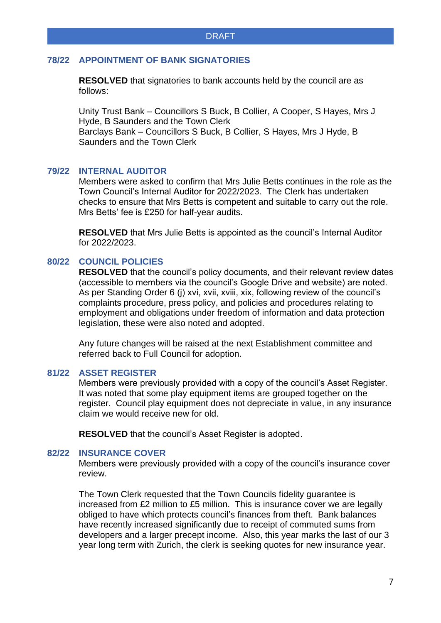# **78/22 APPOINTMENT OF BANK SIGNATORIES**

**RESOLVED** that signatories to bank accounts held by the council are as follows:

Unity Trust Bank – Councillors S Buck, B Collier, A Cooper, S Hayes, Mrs J Hyde, B Saunders and the Town Clerk Barclays Bank – Councillors S Buck, B Collier, S Hayes, Mrs J Hyde, B Saunders and the Town Clerk

# **79/22 INTERNAL AUDITOR**

Members were asked to confirm that Mrs Julie Betts continues in the role as the Town Council's Internal Auditor for 2022/2023. The Clerk has undertaken checks to ensure that Mrs Betts is competent and suitable to carry out the role. Mrs Betts' fee is £250 for half-year audits.

**RESOLVED** that Mrs Julie Betts is appointed as the council's Internal Auditor for 2022/2023.

### **80/22 COUNCIL POLICIES**

**RESOLVED** that the council's policy documents, and their relevant review dates (accessible to members via the council's Google Drive and website) are noted. As per Standing Order 6 (j) xvi, xvii, xviii, xix, following review of the council's complaints procedure, press policy, and policies and procedures relating to employment and obligations under freedom of information and data protection legislation, these were also noted and adopted.

Any future changes will be raised at the next Establishment committee and referred back to Full Council for adoption.

### **81/22 ASSET REGISTER**

Members were previously provided with a copy of the council's Asset Register. It was noted that some play equipment items are grouped together on the register. Council play equipment does not depreciate in value, in any insurance claim we would receive new for old.

**RESOLVED** that the council's Asset Register is adopted.

### **82/22 INSURANCE COVER**

Members were previously provided with a copy of the council's insurance cover review.

The Town Clerk requested that the Town Councils fidelity guarantee is increased from £2 million to £5 million. This is insurance cover we are legally obliged to have which protects council's finances from theft. Bank balances have recently increased significantly due to receipt of commuted sums from developers and a larger precept income. Also, this year marks the last of our 3 year long term with Zurich, the clerk is seeking quotes for new insurance year.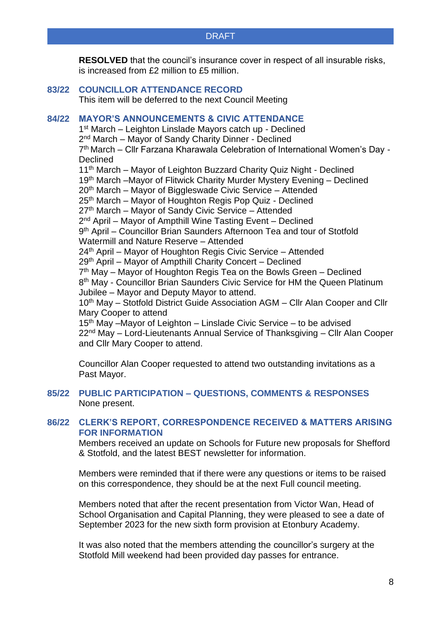**RESOLVED** that the council's insurance cover in respect of all insurable risks, is increased from £2 million to £5 million.

# **83/22 COUNCILLOR ATTENDANCE RECORD**

This item will be deferred to the next Council Meeting

# **84/22 MAYOR'S ANNOUNCEMENTS & CIVIC ATTENDANCE**

1<sup>st</sup> March - Leighton Linslade Mayors catch up - Declined 2<sup>nd</sup> March – Mayor of Sandy Charity Dinner - Declined 7<sup>th</sup> March – Cllr Farzana Kharawala Celebration of International Women's Day -**Declined** 11<sup>th</sup> March – Mayor of Leighton Buzzard Charity Quiz Night - Declined 19th March –Mayor of Flitwick Charity Murder Mystery Evening – Declined 20th March – Mayor of Biggleswade Civic Service – Attended 25th March – Mayor of Houghton Regis Pop Quiz - Declined 27<sup>th</sup> March – Mayor of Sandy Civic Service – Attended 2<sup>nd</sup> April – Mayor of Ampthill Wine Tasting Event – Declined 9<sup>th</sup> April – Councillor Brian Saunders Afternoon Tea and tour of Stotfold Watermill and Nature Reserve – Attended 24th April – Mayor of Houghton Regis Civic Service – Attended 29th April – Mayor of Ampthill Charity Concert – Declined 7<sup>th</sup> May – Mayor of Houghton Regis Tea on the Bowls Green – Declined 8<sup>th</sup> May - Councillor Brian Saunders Civic Service for HM the Queen Platinum Jubilee – Mayor and Deputy Mayor to attend. 10<sup>th</sup> May – Stotfold District Guide Association AGM – Cllr Alan Cooper and Cllr Mary Cooper to attend 15th May –Mayor of Leighton – Linslade Civic Service – to be advised 22nd May – Lord-Lieutenants Annual Service of Thanksgiving – Cllr Alan Cooper and Cllr Mary Cooper to attend.

Councillor Alan Cooper requested to attend two outstanding invitations as a Past Mayor.

# **85/22 PUBLIC PARTICIPATION – QUESTIONS, COMMENTS & RESPONSES** None present.

# **86/22 CLERK'S REPORT, CORRESPONDENCE RECEIVED & MATTERS ARISING FOR INFORMATION**

Members received an update on Schools for Future new proposals for Shefford & Stotfold, and the latest BEST newsletter for information.

Members were reminded that if there were any questions or items to be raised on this correspondence, they should be at the next Full council meeting.

Members noted that after the recent presentation from Victor Wan, Head of School Organisation and Capital Planning, they were pleased to see a date of September 2023 for the new sixth form provision at Etonbury Academy.

It was also noted that the members attending the councillor's surgery at the Stotfold Mill weekend had been provided day passes for entrance.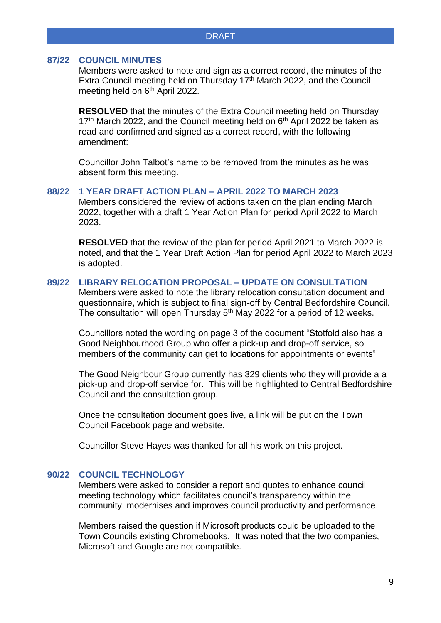#### **87/22 COUNCIL MINUTES**

Members were asked to note and sign as a correct record, the minutes of the Extra Council meeting held on Thursday 17<sup>th</sup> March 2022, and the Council meeting held on 6<sup>th</sup> April 2022.

**RESOLVED** that the minutes of the Extra Council meeting held on Thursday  $17<sup>th</sup>$  March 2022, and the Council meeting held on  $6<sup>th</sup>$  April 2022 be taken as read and confirmed and signed as a correct record, with the following amendment:

Councillor John Talbot's name to be removed from the minutes as he was absent form this meeting.

#### **88/22 1 YEAR DRAFT ACTION PLAN – APRIL 2022 TO MARCH 2023**

Members considered the review of actions taken on the plan ending March 2022, together with a draft 1 Year Action Plan for period April 2022 to March 2023.

**RESOLVED** that the review of the plan for period April 2021 to March 2022 is noted, and that the 1 Year Draft Action Plan for period April 2022 to March 2023 is adopted.

# **89/22 LIBRARY RELOCATION PROPOSAL – UPDATE ON CONSULTATION**

Members were asked to note the library relocation consultation document and questionnaire, which is subject to final sign-off by Central Bedfordshire Council. The consultation will open Thursday  $5<sup>th</sup>$  May 2022 for a period of 12 weeks.

Councillors noted the wording on page 3 of the document "Stotfold also has a Good Neighbourhood Group who offer a pick-up and drop-off service, so members of the community can get to locations for appointments or events"

The Good Neighbour Group currently has 329 clients who they will provide a a pick-up and drop-off service for. This will be highlighted to Central Bedfordshire Council and the consultation group.

Once the consultation document goes live, a link will be put on the Town Council Facebook page and website.

Councillor Steve Hayes was thanked for all his work on this project.

### **90/22 COUNCIL TECHNOLOGY**

Members were asked to consider a report and quotes to enhance council meeting technology which facilitates council's transparency within the community, modernises and improves council productivity and performance.

Members raised the question if Microsoft products could be uploaded to the Town Councils existing Chromebooks. It was noted that the two companies, Microsoft and Google are not compatible.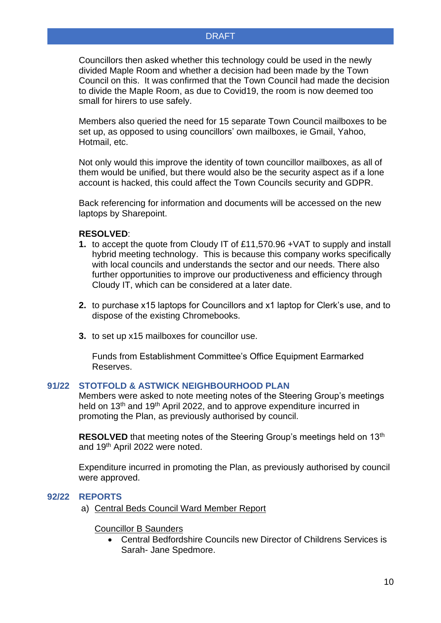Councillors then asked whether this technology could be used in the newly divided Maple Room and whether a decision had been made by the Town Council on this. It was confirmed that the Town Council had made the decision to divide the Maple Room, as due to Covid19, the room is now deemed too small for hirers to use safely.

Members also queried the need for 15 separate Town Council mailboxes to be set up, as opposed to using councillors' own mailboxes, ie Gmail, Yahoo, Hotmail, etc.

Not only would this improve the identity of town councillor mailboxes, as all of them would be unified, but there would also be the security aspect as if a lone account is hacked, this could affect the Town Councils security and GDPR.

Back referencing for information and documents will be accessed on the new laptops by Sharepoint.

### **RESOLVED**:

- **1.** to accept the quote from Cloudy IT of £11,570.96 +VAT to supply and install hybrid meeting technology. This is because this company works specifically with local councils and understands the sector and our needs. There also further opportunities to improve our productiveness and efficiency through Cloudy IT, which can be considered at a later date.
- **2.** to purchase x15 laptops for Councillors and x1 laptop for Clerk's use, and to dispose of the existing Chromebooks.
- **3.** to set up x15 mailboxes for councillor use.

Funds from Establishment Committee's Office Equipment Earmarked Reserves.

### **91/22 STOTFOLD & ASTWICK NEIGHBOURHOOD PLAN**

Members were asked to note meeting notes of the Steering Group's meetings held on 13<sup>th</sup> and 19<sup>th</sup> April 2022, and to approve expenditure incurred in promoting the Plan, as previously authorised by council.

**RESOLVED** that meeting notes of the Steering Group's meetings held on 13<sup>th</sup> and 19th April 2022 were noted.

Expenditure incurred in promoting the Plan, as previously authorised by council were approved.

#### **92/22 REPORTS**

a) Central Beds Council Ward Member Report

#### Councillor B Saunders

• Central Bedfordshire Councils new Director of Childrens Services is Sarah- Jane Spedmore.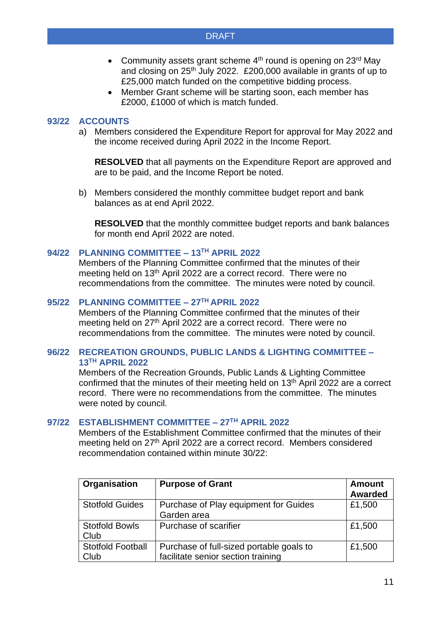- Community assets grant scheme  $4<sup>th</sup>$  round is opening on 23<sup>rd</sup> May and closing on 25th July 2022. £200,000 available in grants of up to £25,000 match funded on the competitive bidding process.
- Member Grant scheme will be starting soon, each member has £2000, £1000 of which is match funded.

# **93/22 ACCOUNTS**

a) Members considered the Expenditure Report for approval for May 2022 and the income received during April 2022 in the Income Report.

**RESOLVED** that all payments on the Expenditure Report are approved and are to be paid, and the Income Report be noted.

b) Members considered the monthly committee budget report and bank balances as at end April 2022.

**RESOLVED** that the monthly committee budget reports and bank balances for month end April 2022 are noted.

### **94/22 PLANNING COMMITTEE – 13 TH APRIL 2022**

Members of the Planning Committee confirmed that the minutes of their meeting held on 13<sup>th</sup> April 2022 are a correct record. There were no recommendations from the committee. The minutes were noted by council.

# **95/22 PLANNING COMMITTEE – 27TH APRIL 2022**

Members of the Planning Committee confirmed that the minutes of their meeting held on 27<sup>th</sup> April 2022 are a correct record. There were no recommendations from the committee. The minutes were noted by council.

# **96/22 RECREATION GROUNDS, PUBLIC LANDS & LIGHTING COMMITTEE – 13 TH APRIL 2022**

Members of the Recreation Grounds, Public Lands & Lighting Committee confirmed that the minutes of their meeting held on 13<sup>th</sup> April 2022 are a correct record. There were no recommendations from the committee. The minutes were noted by council.

### **97/22 ESTABLISHMENT COMMITTEE – 27TH APRIL 2022**

Members of the Establishment Committee confirmed that the minutes of their meeting held on 27<sup>th</sup> April 2022 are a correct record. Members considered recommendation contained within minute 30/22:

| Organisation             | <b>Purpose of Grant</b>                  | <b>Amount</b>  |
|--------------------------|------------------------------------------|----------------|
|                          |                                          | <b>Awarded</b> |
| <b>Stotfold Guides</b>   | Purchase of Play equipment for Guides    | £1,500         |
|                          | Garden area                              |                |
| <b>Stotfold Bowls</b>    | Purchase of scarifier                    | £1,500         |
| Club                     |                                          |                |
| <b>Stotfold Football</b> | Purchase of full-sized portable goals to | £1,500         |
| Club                     | facilitate senior section training       |                |